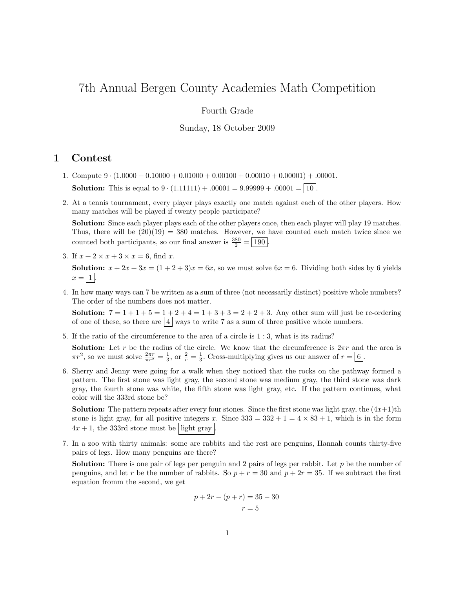# 7th Annual Bergen County Academies Math Competition

## Fourth Grade

### Sunday, 18 October 2009

## 1 Contest

- 1. Compute  $9 \cdot (1.0000 + 0.10000 + 0.01000 + 0.00100 + 0.00010 + 0.00001) + .00001$ . **Solution:** This is equal to  $9 \cdot (1.11111) + .00001 = 9.99999 + .00001 = 10$ .
- 2. At a tennis tournament, every player plays exactly one match against each of the other players. How many matches will be played if twenty people participate?

Solution: Since each player plays each of the other players once, then each player will play 19 matches. Thus, there will be  $(20)(19) = 380$  matches. However, we have counted each match twice since we counted both participants, so our final answer is  $\frac{380}{2} = \boxed{190}$ .

- 3. If  $x + 2 \times x + 3 \times x = 6$ , find x. **Solution:**  $x + 2x + 3x = (1 + 2 + 3)x = 6x$ , so we must solve  $6x = 6$ . Dividing both sides by 6 yields  $x = |1|$ .
- 4. In how many ways can 7 be written as a sum of three (not necessarily distinct) positive whole numbers? The order of the numbers does not matter.

**Solution:**  $7 = 1 + 1 + 5 = 1 + 2 + 4 = 1 + 3 + 3 = 2 + 2 + 3$ . Any other sum will just be re-ordering of one of these, so there are  $\boxed{4}$  ways to write 7 as a sum of three positive whole numbers.

5. If the ratio of the circumference to the area of a circle is 1 : 3, what is its radius?

**Solution:** Let r be the radius of the circle. We know that the circumference is  $2\pi r$  and the area is  $\pi r^2$ , so we must solve  $\frac{2\pi r}{\pi r^2} = \frac{1}{3}$ , or  $\frac{2}{r} = \frac{1}{3}$ . Cross-multiplying gives us our answer of  $r = \boxed{6}$ .

6. Sherry and Jenny were going for a walk when they noticed that the rocks on the pathway formed a pattern. The first stone was light gray, the second stone was medium gray, the third stone was dark gray, the fourth stone was white, the fifth stone was light gray, etc. If the pattern continues, what color will the 333rd stone be?

**Solution:** The pattern repeats after every four stones. Since the first stone was light gray, the  $(4x+1)$ th stone is light gray, for all positive integers x. Since  $333 = 332 + 1 = 4 \times 83 + 1$ , which is in the form  $4x + 1$ , the 333rd stone must be light gray

7. In a zoo with thirty animals: some are rabbits and the rest are penguins, Hannah counts thirty-five pairs of legs. How many penguins are there?

**Solution:** There is one pair of legs per penguin and 2 pairs of legs per rabbit. Let  $p$  be the number of penguins, and let r be the number of rabbits. So  $p + r = 30$  and  $p + 2r = 35$ . If we subtract the first equation fromm the second, we get

$$
p + 2r - (p + r) = 35 - 30
$$
  

$$
r = 5
$$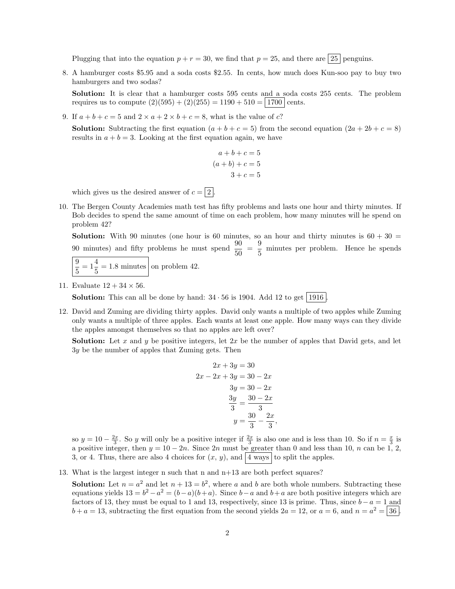Plugging that into the equation  $p + r = 30$ , we find that  $p = 25$ , and there are  $\boxed{25}$  penguins.

8. A hamburger costs \$5.95 and a soda costs \$2.55. In cents, how much does Kun-soo pay to buy two hamburgers and two sodas?

Solution: It is clear that a hamburger costs 595 cents and a soda costs 255 cents. The problem requires us to compute  $(2)(595) + (2)(255) = 1190 + 510 = |1700|$  cents.

9. If  $a + b + c = 5$  and  $2 \times a + 2 \times b + c = 8$ , what is the value of c?

**Solution:** Subtracting the first equation  $(a + b + c = 5)$  from the second equation  $(2a + 2b + c = 8)$ results in  $a + b = 3$ . Looking at the first equation again, we have

$$
a+b+c=5
$$

$$
(a+b)+c=5
$$

$$
3+c=5
$$

which gives us the desired answer of  $c = \boxed{2}$ .

10. The Bergen County Academies math test has fifty problems and lasts one hour and thirty minutes. If Bob decides to spend the same amount of time on each problem, how many minutes will he spend on problem 42?

**Solution:** With 90 minutes (one hour is 60 minutes, so an hour and thirty minutes is  $60 + 30 =$ 90 minutes) and fifty problems he must spend  $\frac{90}{50} = \frac{9}{5}$  $\frac{5}{5}$  minutes per problem. Hence he spends

$$
\frac{9}{5} = 1\frac{4}{5} = 1.8
$$
 minutes on problem 42.

#### 11. Evaluate  $12 + 34 \times 56$ .

**Solution:** This can all be done by hand:  $34 \cdot 56$  is 1904. Add 12 to get 1916.

12. David and Zuming are dividing thirty apples. David only wants a multiple of two apples while Zuming only wants a multiple of three apples. Each wants at least one apple. How many ways can they divide the apples amongst themselves so that no apples are left over?

**Solution:** Let x and y be positive integers, let  $2x$  be the number of apples that David gets, and let 3y be the number of apples that Zuming gets. Then

$$
2x + 3y = 30
$$
  

$$
2x - 2x + 3y = 30 - 2x
$$
  

$$
3y = 30 - 2x
$$
  

$$
\frac{3y}{3} = \frac{30 - 2x}{3}
$$
  

$$
y = \frac{30}{3} - \frac{2x}{3}
$$

so  $y = 10 - \frac{2x}{3}$ . So y will only be a positive integer if  $\frac{2x}{3}$  is also one and is less than 10. So if  $n = \frac{x}{3}$  is a positive integer, then  $y = 10 - 2n$ . Since  $2n$  must be greater than 0 and less than 10, n can be 1, 2, 3, or 4. Thus, there are also 4 choices for  $(x, y)$ , and  $|4$  ways to split the apples.

13. What is the largest integer n such that n and n+13 are both perfect squares?

**Solution:** Let  $n = a^2$  and let  $n + 13 = b^2$ , where a and b are both whole numbers. Subtracting these equations yields  $13 = b^2 - a^2 = (b - a)(b + a)$ . Since  $b - a$  and  $b + a$  are both positive integers which are factors of 13, they must be equal to 1 and 13, respectively, since 13 is prime. Thus, since  $b-a=1$  and  $b + a = 13$ , subtracting the first equation from the second yields  $2a = 12$ , or  $a = 6$ , and  $n = a^2 = 36$ .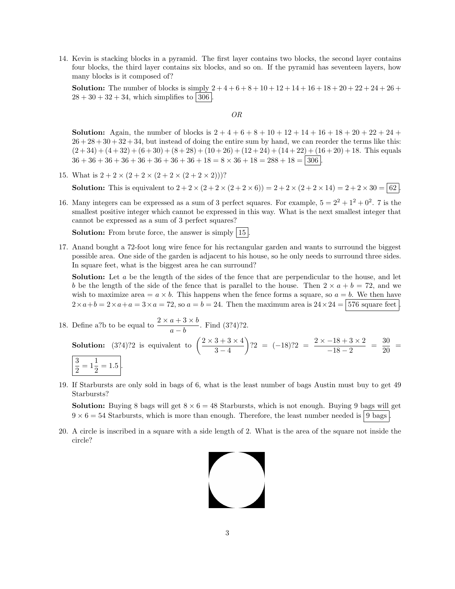14. Kevin is stacking blocks in a pyramid. The first layer contains two blocks, the second layer contains four blocks, the third layer contains six blocks, and so on. If the pyramid has seventeen layers, how many blocks is it composed of?

**Solution:** The number of blocks is simply  $2+4+6+8+10+12+14+16+18+20+22+24+26+$  $28 + 30 + 32 + 34$ , which simplifies to 306.

OR

**Solution:** Again, the number of blocks is  $2 + 4 + 6 + 8 + 10 + 12 + 14 + 16 + 18 + 20 + 22 + 24 +$  $26 + 28 + 30 + 32 + 34$ , but instead of doing the entire sum by hand, we can reorder the terms like this:  $(2+34) + (4+32) + (6+30) + (8+28) + (10+26) + (12+24) + (14+22) + (16+20) + 18$ . This equals  $36 + 36 + 36 + 36 + 36 + 36 + 36 + 36 + 18 = 8 \times 36 + 18 = 288 + 18 = 306$ .

15. What is  $2 + 2 \times (2 + 2 \times (2 + 2 \times (2 + 2 \times 2)))$ ?

**Solution:** This is equivalent to  $2 + 2 \times (2 + 2 \times (2 + 2 \times 6)) = 2 + 2 \times (2 + 2 \times 14) = 2 + 2 \times 30 = 62$ .

16. Many integers can be expressed as a sum of 3 perfect squares. For example,  $5 = 2^2 + 1^2 + 0^2$ . 7 is the smallest positive integer which cannot be expressed in this way. What is the next smallest integer that cannot be expressed as a sum of 3 perfect squares?

**Solution:** From brute force, the answer is simply  $|15|$ .

17. Anand bought a 72-foot long wire fence for his rectangular garden and wants to surround the biggest possible area. One side of the garden is adjacent to his house, so he only needs to surround three sides. In square feet, what is the biggest area he can surround?

Solution: Let a be the length of the sides of the fence that are perpendicular to the house, and let b be the length of the side of the fence that is parallel to the house. Then  $2 \times a + b = 72$ , and we wish to maximize area  $= a \times b$ . This happens when the fence forms a square, so  $a = b$ . We then have  $2\times a+b=2\times a+a=3\times a=72$ , so  $a=b=24$ . Then the maximum area is  $24\times 24=376$  square feet

18. Define a?b to be equal to 
$$
\frac{2 \times a + 3 \times b}{a - b}
$$
. Find (3?4)?2.  
\n**Solution:** (3?4)?2 is equivalent to  $\left(\frac{2 \times 3 + 3 \times 4}{3 - 4}\right)$ ?2 = (-18)?2 =  $\frac{2 \times -18 + 3 \times 2}{-18 - 2} = \frac{30}{20} = \frac{30}{2} = \frac{3}{2} = 1\frac{1}{2} = 1.5$ .

19. If Starbursts are only sold in bags of 6, what is the least number of bags Austin must buy to get 49 Starbursts?

**Solution:** Buying 8 bags will get  $8 \times 6 = 48$  Starbursts, which is not enough. Buying 9 bags will get  $9 \times 6 = 54$  Starbursts, which is more than enough. Therefore, the least number needed is 9 bags

20. A circle is inscribed in a square with a side length of 2. What is the area of the square not inside the circle?

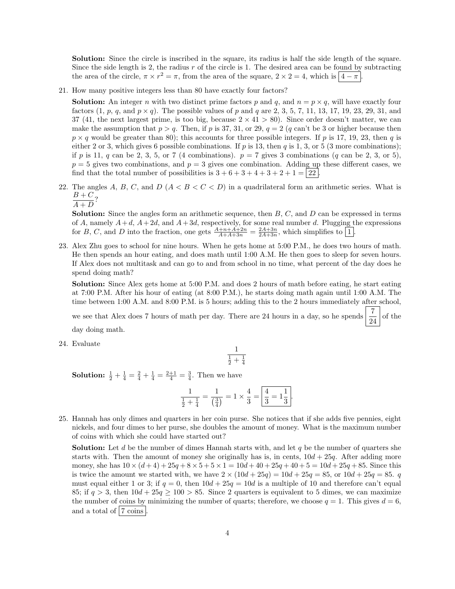Solution: Since the circle is inscribed in the square, its radius is half the side length of the square. Since the side length is 2, the radius  $r$  of the circle is 1. The desired area can be found by subtracting the area of the circle,  $\pi \times r^2 = \pi$ , from the area of the square,  $2 \times 2 = 4$ , which is  $|4 - \pi|$ .

21. How many positive integers less than 80 have exactly four factors?

**Solution:** An integer n with two distinct prime factors p and q, and  $n = p \times q$ , will have exactly four factors  $(1, p, q, \text{ and } p \times q)$ . The possible values of p and q are 2, 3, 5, 7, 11, 13, 17, 19, 23, 29, 31, and 37 (41, the next largest prime, is too big, because  $2 \times 41 > 80$ ). Since order doesn't matter, we can make the assumption that  $p > q$ . Then, if p is 37, 31, or 29,  $q = 2$  (q can't be 3 or higher because then  $p \times q$  would be greater than 80); this accounts for three possible integers. If p is 17, 19, 23, then q is either 2 or 3, which gives 6 possible combinations. If p is 13, then q is 1, 3, or 5 (3 more combinations); if p is 11, q can be 2, 3, 5, or 7 (4 combinations).  $p = 7$  gives 3 combinations (q can be 2, 3, or 5),  $p = 5$  gives two combinations, and  $p = 3$  gives one combination. Adding up these different cases, we find that the total number of possibilities is  $3 + 6 + 3 + 4 + 3 + 2 + 1 = 22$ .

- 22. The angles A, B, C, and D  $(A < B < C < D)$  in a quadrilateral form an arithmetic series. What is  $\frac{B+C}{1}$ ?
	- $\overline{A+D}$

**Solution:** Since the angles form an arithmetic sequence, then  $B$ ,  $C$ , and  $D$  can be expressed in terms of A, namely  $A+d$ ,  $A+2d$ , and  $A+3d$ , respectively, for some real number d. Plugging the expressions for B, C, and D into the fraction, one gets  $\frac{A+n+A+2n}{A+A+3n} = \frac{2A+3n}{2A+3n}$ , which simplifies to  $\boxed{1}$ .

23. Alex Zhu goes to school for nine hours. When he gets home at 5:00 P.M., he does two hours of math. He then spends an hour eating, and does math until 1:00 A.M. He then goes to sleep for seven hours. If Alex does not multitask and can go to and from school in no time, what percent of the day does he spend doing math?

Solution: Since Alex gets home at 5:00 P.M. and does 2 hours of math before eating, he start eating at 7:00 P.M. After his hour of eating (at 8:00 P.M.), he starts doing math again until 1:00 A.M. The time between 1:00 A.M. and 8:00 P.M. is 5 hours; adding this to the 2 hours immediately after school,

we see that Alex does 7 hours of math per day. There are 24 hours in a day, so he spends  $\frac{7}{24}$  of the day doing math.

24. Evaluate

$$
\frac{1}{\frac{1}{2}+\frac{1}{4}}
$$

**Solution:**  $\frac{1}{2} + \frac{1}{4} = \frac{2}{4} + \frac{1}{4} = \frac{2+1}{4} = \frac{3}{4}$ . Then we have

$$
\frac{1}{\frac{1}{2} + \frac{1}{4}} = \frac{1}{\left(\frac{3}{4}\right)} = 1 \times \frac{4}{3} = \left|\frac{4}{3} = 1\frac{1}{3}\right|.
$$

25. Hannah has only dimes and quarters in her coin purse. She notices that if she adds five pennies, eight nickels, and four dimes to her purse, she doubles the amount of money. What is the maximum number of coins with which she could have started out?

**Solution:** Let d be the number of dimes Hannah starts with, and let q be the number of quarters she starts with. Then the amount of money she originally has is, in cents,  $10d + 25q$ . After adding more money, she has  $10 \times (d+4) + 25q + 8 \times 5 + 5 \times 1 = 10d + 40 + 25q + 40 + 5 = 10d + 25q + 85$ . Since this is twice the amount we started with, we have  $2 \times (10d + 25q) = 10d + 25q = 85$ , or  $10d + 25q = 85$ . must equal either 1 or 3; if  $q = 0$ , then  $10d + 25q = 10d$  is a multiple of 10 and therefore can't equal 85; if  $q > 3$ , then  $10d + 25q > 100 > 85$ . Since 2 quarters is equivalent to 5 dimes, we can maximize the number of coins by minimizing the number of quarts; therefore, we choose  $q = 1$ . This gives  $d = 6$ , and a total of  $|7 \text{ coins}$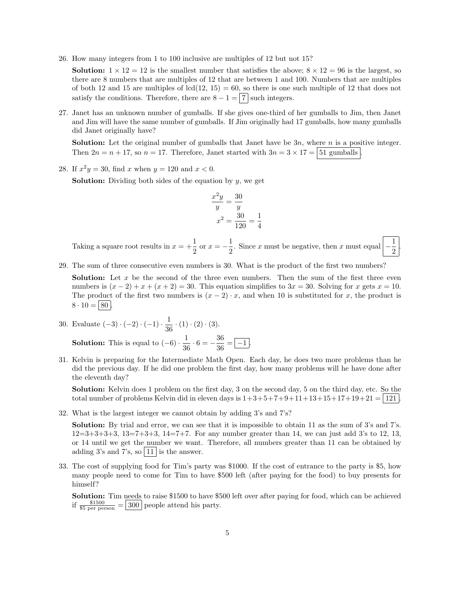26. How many integers from 1 to 100 inclusive are multiples of 12 but not 15?

**Solution:**  $1 \times 12 = 12$  is the smallest number that satisfies the above;  $8 \times 12 = 96$  is the largest, so there are 8 numbers that are multiples of 12 that are between 1 and 100. Numbers that are multiples of both 12 and 15 are multiples of  $lcd(12, 15) = 60$ , so there is one such multiple of 12 that does not satisfy the conditions. Therefore, there are  $8 - 1 = \boxed{7}$  such integers.

27. Janet has an unknown number of gumballs. If she gives one-third of her gumballs to Jim, then Janet and Jim will have the same number of gumballs. If Jim originally had 17 gumballs, how many gumballs did Janet originally have?

**Solution:** Let the original number of gumballs that Janet have be  $3n$ , where n is a positive integer. Then  $2n = n + 17$ , so  $n = 17$ . Therefore, Janet started with  $3n = 3 \times 17 = 51$  gumballs

28. If  $x^2y = 30$ , find x when  $y = 120$  and  $x < 0$ .

**Solution:** Dividing both sides of the equation by  $y$ , we get

$$
\frac{x^2y}{y} = \frac{30}{y}
$$

$$
x^2 = \frac{30}{120} = \frac{1}{4}
$$

Taking a square root results in  $x = +\frac{1}{2}$  $\frac{1}{2}$  or  $x = -\frac{1}{2}$  $\frac{1}{2}$ . Since x must be negative, then x must equal  $\Big|$  – 1 2

.

29. The sum of three consecutive even numbers is 30. What is the product of the first two numbers?

**Solution:** Let  $x$  be the second of the three even numbers. Then the sum of the first three even numbers is  $(x-2) + x + (x+2) = 30$ . This equation simplifies to  $3x = 30$ . Solving for x gets  $x = 10$ . The product of the first two numbers is  $(x - 2) \cdot x$ , and when 10 is substituted for x, the product is  $8 \cdot 10 = | 80 |$ 

30. Evaluate 
$$
(-3) \cdot (-2) \cdot (-1) \cdot \frac{1}{36} \cdot (1) \cdot (2) \cdot (3)
$$
.  
Solution: This is equal to  $(-6) \cdot \frac{1}{36} \cdot 6 = -\frac{36}{36} = \boxed{-1}$ .

31. Kelvin is preparing for the Intermediate Math Open. Each day, he does two more problems than he did the previous day. If he did one problem the first day, how many problems will he have done after the eleventh day?

Solution: Kelvin does 1 problem on the first day, 3 on the second day, 5 on the third day, etc. So the total number of problems Kelvin did in eleven days is  $1+3+5+7+9+11+13+15+17+19+21 = 121$ .

32. What is the largest integer we cannot obtain by adding 3's and 7's?

Solution: By trial and error, we can see that it is impossible to obtain 11 as the sum of 3's and 7's.  $12=3+3+3+3$ ,  $13=7+3+3$ ,  $14=7+7$ . For any number greater than 14, we can just add 3's to 12, 13, or 14 until we get the number we want. Therefore, all numbers greater than 11 can be obtained by adding 3's and 7's, so  $\boxed{11}$  is the answer.

33. The cost of supplying food for Tim's party was \$1000. If the cost of entrance to the party is \$5, how many people need to come for Tim to have \$500 left (after paying for the food) to buy presents for himself?

Solution: Tim needs to raise \$1500 to have \$500 left over after paying for food, which can be achieved if  $\frac{$1500}{$5 \text{ per person}} = 300$  people attend his party.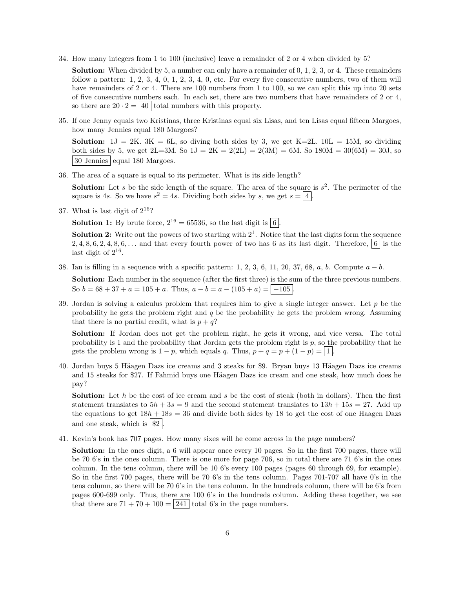34. How many integers from 1 to 100 (inclusive) leave a remainder of 2 or 4 when divided by 5?

Solution: When divided by 5, a number can only have a remainder of 0, 1, 2, 3, or 4. These remainders follow a pattern:  $1, 2, 3, 4, 0, 1, 2, 3, 4, 0$ , etc. For every five consecutive numbers, two of them will have remainders of 2 or 4. There are 100 numbers from 1 to 100, so we can split this up into 20 sets of five consecutive numbers each. In each set, there are two numbers that have remainders of 2 or 4, so there are  $20 \cdot 2 = |40|$  total numbers with this property.

35. If one Jenny equals two Kristinas, three Kristinas equal six Lisas, and ten Lisas equal fifteen Margoes, how many Jennies equal 180 Margoes?

**Solution:**  $1J = 2K$ .  $3K = 6L$ , so diving both sides by 3, we get  $K=2L$ .  $10L = 15M$ , so dividing both sides by 5, we get  $2L=3M$ . So  $1J = 2K = 2(2L) = 2(3M) = 6M$ . So  $180M = 30(6M) = 30J$ , so  $\sqrt{30}$  Jennies equal 180 Margoes.

36. The area of a square is equal to its perimeter. What is its side length?

**Solution:** Let s be the side length of the square. The area of the square is  $s^2$ . The perimeter of the square is 4s. So we have  $s^2 = 4s$ . Dividing both sides by s, we get  $s = |4|$ .

37. What is last digit of  $2^{16}$ ?

**Solution 1:** By brute force,  $2^{16} = 65536$ , so the last digit is  $\boxed{6}$ .

**Solution 2:** Write out the powers of two starting with  $2<sup>1</sup>$ . Notice that the last digits form the sequence 2, 4, 8, 6, 2, 4, 8, 6,... and that every fourth power of two has 6 as its last digit. Therefore,  $\vert 6 \vert$  is the last digit of  $2^{16}$ .

38. Ian is filling in a sequence with a specific pattern: 1, 2, 3, 6, 11, 20, 37, 68, a, b. Compute  $a - b$ .

Solution: Each number in the sequence (after the first three) is the sum of the three previous numbers. So  $b = 68 + 37 + a = 105 + a$ . Thus,  $a - b = a - (105 + a) = |-105|$ 

39. Jordan is solving a calculus problem that requires him to give a single integer answer. Let  $p$  be the probability he gets the problem right and  $q$  be the probability he gets the problem wrong. Assuming that there is no partial credit, what is  $p + q$ ?

Solution: If Jordan does not get the problem right, he gets it wrong, and vice versa. The total probability is 1 and the probability that Jordan gets the problem right is  $p$ , so the probability that he gets the problem wrong is  $1 - p$ , which equals q. Thus,  $p + q = p + (1 - p) = \boxed{1}$ .

40. Jordan buys 5 Häagen Dazs ice creams and 3 steaks for \$9. Bryan buys 13 Häagen Dazs ice creams and 15 steaks for \$27. If Fahmid buys one Häagen Dazs ice cream and one steak, how much does he pay?

**Solution:** Let h be the cost of ice cream and s be the cost of steak (both in dollars). Then the first statement translates to  $5h + 3s = 9$  and the second statement translates to  $13h + 15s = 27$ . Add up the equations to get  $18h + 18s = 36$  and divide both sides by 18 to get the cost of one Haagen Dazs and one steak, which is  $\frac{1}{2}$ 

41. Kevin's book has 707 pages. How many sixes will he come across in the page numbers?

Solution: In the ones digit, a 6 will appear once every 10 pages. So in the first 700 pages, there will be 70 6's in the ones column. There is one more for page 706, so in total there are 71 6's in the ones column. In the tens column, there will be 10 6's every 100 pages (pages 60 through 69, for example). So in the first 700 pages, there will be 70 6's in the tens column. Pages 701-707 all have 0's in the tens column, so there will be 70 6's in the tens column. In the hundreds column, there will be 6's from pages 600-699 only. Thus, there are 100 6's in the hundreds column. Adding these together, we see that there are  $71 + 70 + 100 = 241$  total 6's in the page numbers.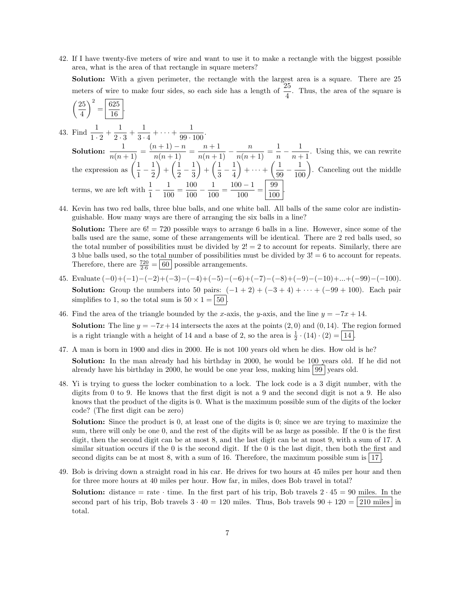42. If I have twenty-five meters of wire and want to use it to make a rectangle with the biggest possible area, what is the area of that rectangle in square meters?

Solution: With a given perimeter, the rectangle with the largest area is a square. There are 25 meters of wire to make four sides, so each side has a length of  $\frac{25}{4}$ . Thus, the area of the square is

$$
\left(\frac{25}{4}\right)^2 = \boxed{\frac{625}{16}}
$$

.

43. Find  $\frac{1}{1 \cdot 2} + \frac{1}{2}$ .

 $\frac{1}{2 \cdot 3} + \frac{1}{3 \cdot \cdot \cdot}$  $\frac{1}{3 \cdot 4} + \cdots + \frac{1}{99 \cdot 1}$  $\frac{1}{99 \cdot 100}$ . Solution:  $\frac{1}{n(n+1)} = \frac{(n+1)-n}{n(n+1)} = \frac{n+1}{n(n+1)} - \frac{n}{n(n+1)} = \frac{1}{n}$  $\frac{1}{n} - \frac{1}{n+1}$  $\frac{1}{n+1}$ . Using this, we can rewrite the expression as  $\left(\frac{1}{1}\right)$  $\frac{1}{1} - \frac{1}{2}$ 2  $+\left(\frac{1}{2}\right)$  $\frac{1}{2} - \frac{1}{3}$ 3  $+\left(\frac{1}{2}\right)$  $\frac{1}{3} - \frac{1}{4}$ 4  $+ \cdots + \left(\frac{1}{\alpha}\right)$  $\left(\frac{1}{99} - \frac{1}{100}\right)$ . Canceling out the middle terms, we are left with  $\frac{1}{1} - \frac{1}{10}$  $\frac{1}{100} = \frac{100}{100}$  $\frac{100}{100} - \frac{1}{10}$  $\frac{1}{100} = \frac{100 - 1}{100}$  $\frac{100-1}{100} = \frac{99}{100}$  $\frac{100}{100}$ .

44. Kevin has two red balls, three blue balls, and one white ball. All balls of the same color are indistinguishable. How many ways are there of arranging the six balls in a line?

**Solution:** There are  $6! = 720$  possible ways to arrange 6 balls in a line. However, since some of the balls used are the same, some of these arrangements will be identical. There are 2 red balls used, so the total number of possibilities must be divided by  $2! = 2$  to account for repeats. Similarly, there are 3 blue balls used, so the total number of possibilities must be divided by 3! = 6 to account for repeats. Therefore, there are  $\frac{720}{2.6} = \boxed{60}$  possible arrangements.

- 45. Evaluate (−0)+(−1)−(−2)+(−3)−(−4)+(−5)−(−6)+(−7)−(−8)+(−9)−(−10)+...+(−99)−(−100). **Solution:** Group the numbers into 50 pairs:  $(-1 + 2) + (-3 + 4) + \cdots + (-99 + 100)$ . Each pair simplifies to 1, so the total sum is  $50 \times 1 = | 50 |$ .
- 46. Find the area of the triangle bounded by the x-axis, the y-axis, and the line  $y = -7x + 14$ . **Solution:** The line  $y = -7x + 14$  intersects the axes at the points  $(2,0)$  and  $(0,14)$ . The region formed is a right triangle with a height of 14 and a base of 2, so the area is  $\frac{1}{2} \cdot (14) \cdot (2) = 14$ .
- 47. A man is born in 1900 and dies in 2000. He is not 100 years old when he dies. How old is he? Solution: In the man already had his birthday in 2000, he would be 100 years old. If he did not already have his birthday in 2000, he would be one year less, making him  $|99|$  years old.
- 48. Yi is trying to guess the locker combination to a lock. The lock code is a 3 digit number, with the digits from 0 to 9. He knows that the first digit is not a 9 and the second digit is not a 9. He also knows that the product of the digits is 0. What is the maximum possible sum of the digits of the locker code? (The first digit can be zero)

Solution: Since the product is 0, at least one of the digits is 0; since we are trying to maximize the sum, there will only be one 0, and the rest of the digits will be as large as possible. If the 0 is the first digit, then the second digit can be at most 8, and the last digit can be at most 9, with a sum of 17. A similar situation occurs if the 0 is the second digit. If the 0 is the last digit, then both the first and second digits can be at most 8, with a sum of 16. Therefore, the maximum possible sum is  $|17|$ .

49. Bob is driving down a straight road in his car. He drives for two hours at 45 miles per hour and then for three more hours at 40 miles per hour. How far, in miles, does Bob travel in total?

**Solution:** distance = rate  $\cdot$  time. In the first part of his trip, Bob travels  $2 \cdot 45 = 90$  miles. In the second part of his trip, Bob travels  $3 \cdot 40 = 120$  miles. Thus, Bob travels  $90 + 120 = |210$  miles in total.